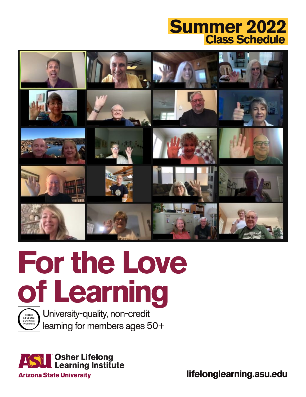# **Class Schedule Summer 2022**









**lifelonglearning.asu.edu**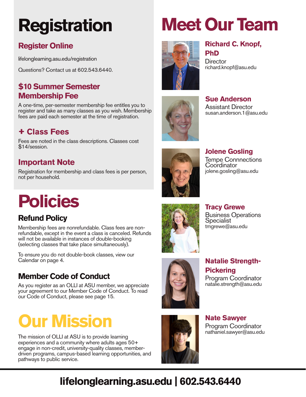# **Registration**

# **Register Online**

lifelonglearning.asu.edu/registration

Questions? Contact us at 602.543.6440.

# **\$10 Summer Semester Membership Fee**

A one-time, per-semester membership fee entitles you to register and take as many classes as you wish. Membership fees are paid each semester at the time of registration.

# **+ Class Fees**

Fees are noted in the class descriptions. Classes cost \$14/session.

# **Important Note**

Registration for membership and class fees is per person, not per household.

# **Policies**

# **Refund Policy**

Membership fees are nonrefundable. Class fees are nonrefundable, except in the event a class is canceled. Refunds will not be available in instances of double-booking (selecting classes that take place simultaneously).

To ensure you do not double-book classes, view our Calendar on page 4.

# **Member Code of Conduct**

As you register as an OLLI at ASU member, we appreciate your agreement to our Member Code of Conduct. To read our Code of Conduct, please see page 15.

# **Our Mission**

The mission of OLLI at ASU is to provide learning experiences and a community where adults ages 50+ engage in non-credit, university-quality classes, memberdriven programs, campus-based learning opportunities, and pathways to public service.

# **Meet Our Team**



### **Richard C. Knopf, PhD**

**Director** richard.knopf@asu.edu



**Sue Anderson** Assistant Director susan.anderson.1@asu.edu



**Jolene Gosling** Tempe Connnections **Coordinator** jolene.gosling@asu.edu



**Tracy Grewe** Business Operations **Specialist** tmgrewe@asu.edu



# **Natalie Strength-Pickering** Program Coordinator

natalie.strength@asu.edu



**Nate Sawyer** Program Coordinator nathaniel.sawyer@asu.edu

# **lifelonglearning.asu.edu | 602.543.6440**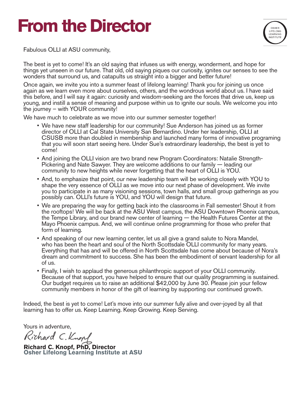# **From the Director**



Fabulous OLLI at ASU community,

The best is yet to come! It's an old saying that infuses us with energy, wonderment, and hope for things yet unseen in our future. That old, old saying piques our curiosity, ignites our senses to see the wonders that surround us, and catapults us straight into a bigger and better future!

Once again, we invite you into a summer feast of lifelong learning! Thank you for joining us once again as we learn even more about ourselves, others, and the wondrous world about us. I have said this before, and I will say it again: curiosity and wisdom-seeking are the forces that drive us, keep us young, and instill a sense of meaning and purpose within us to ignite our souls. We welcome you into the journey – with YOUR community!

We have much to celebrate as we move into our summer semester together!

- We have new staff leadership for our community! Sue Anderson has joined us as former director of OLLI at Cal State University San Bernardino. Under her leadership, OLLI at CSUSB more than doubled in membership and launched many forms of innovative programing that you will soon start seeing here. Under Sue's extraordinary leadership, the best is yet to come!
- And joining the OLLI vision are two brand new Program Coordinators: Natalie Strength-Pickering and Nate Sawyer. They are welcome additions to our family — leading our community to new heights while never forgetting that the heart of OLLI is YOU.
- And, to emphasize that point, our new leadership team will be working closely with YOU to shape the very essence of OLLI as we move into our next phase of development. We invite you to participate in as many visioning sessions, town halls, and small group gatherings as you possibly can. OLLI's future is YOU, and YOU will design that future.
- We are preparing the way for getting back into the classrooms in Fall semester! Shout it from the rooftops! We will be back at the ASU West campus, the ASU Downtown Phoenix campus, the Tempe Library, and our brand new center of learning — the Health Futures Center at the Mayo Phoenix campus. And, we will continue online programming for those who prefer that form of learning.
- And speaking of our new learning center, let us all give a grand salute to Nora Mandel, who has been the heart and soul of the North Scottsdale OLLI community for many years. Everything that has and will be offered in North Scottsdale has come about because of Nora's dream and commitment to success. She has been the embodiment of servant leadership for all of us.
- Finally, I wish to applaud the generous philanthropic support of your OLLI community. Because of that support, you have helped to ensure that our quality programming is sustained. Our budget requires us to raise an additional \$42,000 by June 30. Please join your fellow community members in honor of the gift of learning by supporting our continued growth.

Indeed, the best is yet to come! Let's move into our summer fully alive and over-joyed by all that learning has to offer us. Keep Learning. Keep Growing. Keep Serving.

Yours in adventure,

Richard C. Knopf

**Richard C. Knopf, PhD, Director Osher Lifelong Learning Institute at ASU**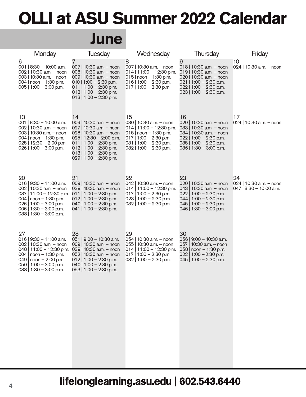# **OLLI at ASU Summer 2022 Calendar**

# **June**

| Monday                                                                                                                                                                                                     | <b>Tuesday</b>                                                                                                                                                                                                                | Wednesday                                                                                                                                                                | Thursday                                                                                                                                                                | Friday                                                   |
|------------------------------------------------------------------------------------------------------------------------------------------------------------------------------------------------------------|-------------------------------------------------------------------------------------------------------------------------------------------------------------------------------------------------------------------------------|--------------------------------------------------------------------------------------------------------------------------------------------------------------------------|-------------------------------------------------------------------------------------------------------------------------------------------------------------------------|----------------------------------------------------------|
| 6<br>001   $8:30 - 10:00$ a.m.<br>002   10:30 a.m. $-$ noon<br>003   10:30 a.m. - noon<br>004   noon $-1:30$ p.m.<br>005   1:00 - 3:00 p.m.                                                                | 7<br>007<br>10:30 a.m. - noon<br>008   10:30 a.m. $-$ noon<br>009   10:30 a.m. - noon<br>010   1:00 - 2:30 p.m.<br>011   1:00 - 2:30 p.m.<br>$012$   1:00 - 2:30 p.m.<br>$013$   1:00 - 2:30 p.m.                             | 8<br>007   10:30 a.m. - noon<br>$014$   11:00 - 12:30 p.m.<br>015   $noon - 1:30 p.m.$<br>016   1:00 - 2:30 p.m.<br>$017$   1:00 - 2:30 p.m.                             | 9<br>018   10:30 a.m. $-$ noon<br>019   10:30 a.m. $-$ noon<br>020   10:30 a.m. $-$ noon<br>021   1:00 - 2:30 p.m.<br>022   1:00 - 2:30 p.m.<br>023   1:00 - 2:30 p.m.  | 10<br>024   10:30 a.m. - noon                            |
| 13<br>001   $8:30 - 10:00$ a.m.<br>002   10:30 a.m. - noon<br>003   10:30 a.m. $-$ noon<br>004   noon $-1:30$ p.m.<br>$025$   12:30 - 2:00 p.m.<br>026   1:00 - 3:00 p.m.                                  | 14<br>009   10:30 a.m. - noon<br>027<br>10:30 a.m. - noon<br>028   10:30 a.m. $-$ noon<br>$025$   12:30 - 2:00 p.m.<br>011   1:00 - 2:30 p.m.<br>$012$   1:00 - 2:30 p.m.<br>013   1:00 - 2:30 p.m.<br>029   1:00 - 2:30 p.m. | 15<br>030   10:30 a.m. - noon<br>$014$   11:00 - 12:30 p.m.<br>015   noon $-1:30$ p.m.<br>$017$   1:00 - 2:30 p.m.<br>031   1:00 - 2:30 p.m.<br>$032   1:00 - 2:30$ p.m. | 16<br>020   10:30 a.m. - noon<br>033   10:30 a.m. $-$ noon<br>034   10:30 a.m. - noon<br>$022$   1:00 - 2:30 p.m.<br>035   1:00 $-$ 2:30 p.m.<br>036   1:30 - 3:00 p.m. | 17<br>024   10:30 a.m. - noon                            |
| 20<br>$016$   $9:30 - 11:00$ a.m.<br>002   10:30 a.m. $-$ noon<br>$037   11:00 - 12:30$ p.m.<br>004   noon $-1:30$ p.m.<br>026   1:00 - 3:00 p.m.<br>006   1:30 - 3:00 p.m.<br>038   1:30 - 3:00 p.m.      | 21<br>009   10:30 a.m. - noon<br>039   10:30 a.m. $-$ noon<br>011   1:00 - 2:30 p.m.<br>$012$   1:00 - 2:30 p.m.<br>040   1:00 - 2:30 p.m.<br>041   1:00 - 2:30 p.m.                                                          | 22<br>042   10:30 a.m. - noon<br>$014$   11:00 - 12:30 p.m.<br>$017$   1:00 - 2:30 p.m.<br>$023$   1:00 - 2:30 p.m.<br>$032$   1:00 - 2:30 p.m.                          | 23<br>020   10:30 a.m. - noon<br>043   10:30 a.m. $-$ noon<br>$022$   1:00 - 2:30 p.m.<br>044   1:00 - 2:30 p.m.<br>045   1:00 - 2:30 p.m.<br>046   1:30 - 3:00 p.m.    | 24<br>024   10:30 a.m. - noon<br>047   8:30 - 10:00 a.m. |
| 27<br>016   9:30 - 11:00 a.m.<br>002   10:30 a.m. $-$ noon<br>$048$   11:00 - 12:30 p.m.<br>004   noon $-1:30$ p.m.<br>049   noon $- 2:00$ p.m.<br>$050$   1:00 - 3:00 p.m.<br>$038 \mid 1:30 - 3:00$ p.m. | 28<br>051   $9:00 - 10:30$ a.m.<br>009   10:30 a.m. - noon<br>039   10:30 a.m. - noon<br>052   10:30 a.m. - noon<br>$012$   1:00 - 2:30 p.m.<br>040   1:00 - 2:30 p.m.<br>$053   1:00 - 2:30$ p.m.                            | 29<br>054   10:30 a.m. - noon<br>055   10:30 a.m. $-$ noon<br>$014$   11:00 - 12:30 p.m.<br>$017$   1:00 - 2:30 p.m.<br>032   1:00 - 2:30 p.m.                           | 30<br>056   9:00 - 10:30 a.m.<br>057   10:30 a.m. - noon<br>058   noon - 1:30 p.m.<br>022   1:00 $-$ 2:30 p.m.<br>045   1:00 $-$ 2:30 p.m.                              |                                                          |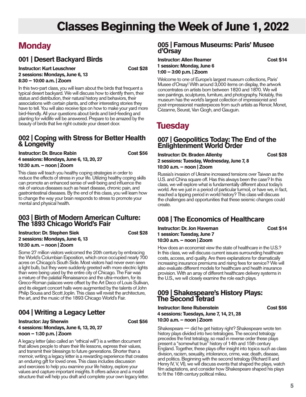# **Classes Beginning the Week of June 1, 2022**

# **Monday**

## **001 | Desert Backyard Birds**

**Instructor: Kurt Leuschner Cost \$28 2 sessions: Mondays, June 6, 13 8:30 – 10:00 a.m. | Zoom**

In this two-part class, you will learn about the birds that frequent a typical desert backyard. We will discuss how to identify them, their status and distribution, their natural history and behaviors, their associations with certain plants, and other interesting stories they have to tell. You will also receive tips on how to make your yard more bird-friendly. All your questions about birds and bird-feeding and planting for wildlife will be answered. Prepare to be amazed by the beauty of birds that live right outside your desert door.

#### **002 | Coping with Stress for Better Health & Longevity**

**Instructor: Dr. Bruce Rabin Cost \$56 4 sessions: Mondays, June 6, 13, 20, 27 10:30 a.m. – noon | Zoom**

This class will teach you healthy coping strategies in order to reduce the effects of stress in your life. Utilizing healthy coping skills can promote an enhanced sense of well-being and influence the risk of various diseases such as heart disease, chronic pain, and gastrointestinal diseases. By the end of this class, you will learn how to change the way your brain responds to stress to promote your mental and physical health.

#### **003 | Birth of Modern American Culture: The 1893 Chicago World's Fair**

**Instructor: Dr. Stephen Siek Cost \$28 2 sessions: Mondays, June 6, 13 10:30 a.m. – noon | Zoom**

Some 27 million visitors welcomed the 20th century by embracing the World's Columbian Exposition, which once occupied nearly 700 acres on Chicago's South Side. Most visitors had never even seen a light bulb, but they were suddenly greeted with more electric lights than were being used by the entire city of Chicago. The Fair was a mixture of the palatial Renaissance and the ultra-modern, for its Greco-Roman palaces were offset by the Art Deco of Louis Sullivan, and its elegant concert halls were augmented by the talents of John Philip Sousa and Scott Joplin. This class will revisit the architecture, the art, and the music of the 1893 Chicago World's Fair.

# **004 | Writing a Legacy Letter**

**Instructor: Jay Sherwin** Cost \$56 **4 sessions: Mondays, June 6, 13, 20, 27 noon – 1:30 p.m. | Zoom**

A legacy letter (also called an "ethical will") is a written document that allows people to share their life lessons, express their values, and transmit their blessings to future generations. Shorter than a memoir, writing a legacy letter is a rewarding experience that creates an enduring gift for loved ones. This class includes discussion and exercises to help you examine your life history, explore your values and capture important insights. It offers advice and a model structure that will help you draft and complete your own legacy letter.

#### **005 | Famous Museums: Paris' Musee d'Orsay**

#### **Instructor: Allen Reamer Cost \$14 1 session: Monday, June 6 1:00 – 3:00 p.m. | Zoom**

Welcome to one of Europe's largest museum collections, Paris' Musee d'Orsay! With around 3,000 items on display, the artwork concentrates on artists born between 1820 and 1870. We will see paintings, sculptures, furniture, and photography. Notably, this museum has the world's largest collection of impressionist and post-impressionist masterpieces from such artists as Renoir, Monet, Cézanne, Seurat, Van Gogh, and Gauguin.

# **Tuesday**

#### **007 | Geopolitics Today: The End of the Enlightenment World Order**

**Instructor: Dr. Braden Allenby <b>Cost \$28 2 sessions: Tuesday, Wednesday, June 7, 8 10:30 a.m. – noon | Zoom**

#### Russia's invasion of Ukraine increased tensions over Taiwan as the U.S. and China square off. Has this always been the case? In this class, we will explore what is fundamentally different about today's world. Are we just in a period of particular turmoil, or have we, in fact, reached a tipping period in world history? This class will discuss the challenges and opportunities that these seismic changes could create.

# **008 | The Economics of Healthcare**

**Instructor: Dr. Jon Haveman Cost \$14 1 session: Tuesday, June 7 10:30 a.m. – noon | Zoom**

How does an economist view the state of healthcare in the U.S.? In this class, we will discuss current issues surrounding healthcare costs, access, and quality. Are there explanations for dramatically increasing insurance premiums and rising fees for service? We will also evaluate different models for healthcare and health insurance provision. With an array of different healthcare delivery systems in the U.S., we will closely examine the role each plays.

#### **009 | Shakespeare's History Plays: The Second Tetrad**

#### **Instructor: Ilene Rubenstein Cost \$56 4 sessions: Tuesdays, June 7, 14, 21, 28 10:30 a.m. – noon | Zoom**

Shakespeare — did he get history right? Shakespeare wrote ten history plays divided into two tetralogies. The second tetralogy precedes the first tetralogy, so read in reverse order these plays present a "somewhat true" history of 14th and 15th century England. Together, these plays offer insight into topics such as class division, racism, sexuality, intolerance, crime, war, death, disease, and politics. Beginning with the second tetralogy (Richard II and Henry IV, V, VI), we will discuss events that shaped the plays, watch film adaptations, and consider how Shakespeare shaped his plays to fit the 16th century political milieu.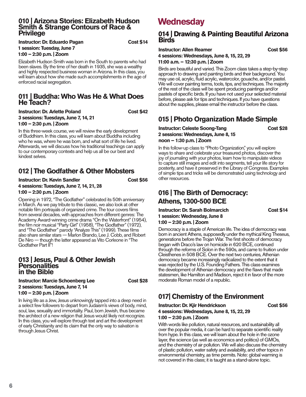#### **010 | Arizona Stories: Elizabeth Hudson Smith & Strange Contours of Race & Privilege**

| Instructor: Dr. Eduardo Pagan |  |  |
|-------------------------------|--|--|
| 1 session: Tuesday, June 7    |  |  |
| 1:00 - 2:30 p.m.   Zoom       |  |  |

Elizabeth Hudson Smith was born in the South to parents who had been slaves. By the time of her death in 1935, she was a wealthy and highly respected business woman in Arizona. In this class, you will learn about how she made such accomplishments in the age of enforced racial segregation.

#### **011 | Buddha: Who Was He & What Does He Teach?**

**Instructor: Dr. Arlette Poland Cost \$42 3 sessions: Tuesdays, June 7, 14, 21 1:00 – 2:30 p.m. | Zoom**

In this three-week course, we will review the early development of Buddhism. In this class, you will learn about Buddha including who he was, where he was born, and what sort of life he lived. Afterwards, we will discuss how his traditional teachings can apply to our contemporary contexts and help us all be our best and kindest selves.

## **012 | The Godfather & Other Mobsters**

#### **Instructor: Dr. Kevin Sandler Cost \$56 4 sessions: Tuesdays, June 7, 14, 21, 28 1:00 – 2:30 p.m. | Zoom**

Opening in 1972, "The Godfather" celebrated its 50th anniversary in March. As we pay tribute to this classic, we also look at other notable film portrayals of organized crime. The tour covers films from several decades, with approaches from different genres: The Academy Award-winning crime drama "On the Waterfront" (1954), the film noir musical "Party Girl" (1958), "The Godfather" (1972), and "The Godfather" parody "Analyze This" (1999). These films also share similar stars — Marlon Brando, Lee J. Cobb, and Robert De Niro — though the latter appeared as Vito Corleone in "The Godfather Part II"!

#### **013 | Jesus, Paul & Other Jewish Personalities in the Bible**

**Instructor: Marcie Schoenberg Lee Cost \$28 2 sessions: Tuesdays, June 7, 14 1:00 – 2:30 p.m. | Zoom**

In living life as a Jew, Jesus unknowingly tapped into a deep need in a select few followers to depart from Judaism's views of body, mind, soul, law, sexuality and immortality. Paul, born Jewish, thus became the architect of a new religion that Jesus would likely not recognize. In this class, you will explore through text and art the development of early Christianity and its claim that the only way to salvation is through Jesus Christ.

# **Wednesday**

**Cost \$14** 

#### **014 | Drawing & Painting Beautiful Arizona Birds**

**Instructor: Allen Reamer Cost \$56 4 sessions: Wednesdays, June 8, 15, 22, 29**

**11:00 a.m. – 12:30 p.m. | Zoom**

Birds are beautiful and varied. This Zoom class takes a step-by-step approach to drawing and painting birds and their background. You may use oil, acrylic, fluid acrylic, watercolor, gouache, and/or pastel. We will cover painting terms, tools, tips, and techniques. The majority of the rest of the class will be spent producing paintings and/or pastels of specific birds. If you have not used your selected material before, please ask for tips and techniques. If you have questions about the supplies, please email the instructor before the class.

# **015 | Photo Organization Made Simple**

#### **Instructor: Celeste Soong-Tang Cost \$28 2 sessions: Wednesdays, June 8, 15 noon – 1:30 p.m. | Zoom**

In this follow-up class to "Photo Organization," you will explore ways to share and celebrate your treasured photos, discover the joy of journaling with your photos, learn how to manipulate videos to capture still images and edit into segments, tell your life story for posterity, and have it preserved in the Library of Congress. Examples of simple tips and tricks will be demonstrated using technology and other resources.

# **016 | The Birth of Democracy: Athens, 1300-500 BCE**

**Instructor: Dr. Sarah Bolmarcich Cost \$14 1 session: Wednesday, June 8 1:00 – 2:30 p.m. | Zoom**

Democracy is a staple of American life. The idea of democracy was born in ancient Athens, supposedly under the mythical King Theseus, generations before the Trojan War. The first shoots of democracy began with Draco's law on homicide in 620 BCE, continued through the reforms of Solon in the 590s, and came to fruition under Cleisthenes in 508 BCE. Over the next two centuries, Athenian democracy became increasingly radicalized to the extent that it was rejected by the U.S. Founding Fathers. This class examines the development of Athenian democracy and the flaws that made statesmen, like Hamilton and Madison, reject it in favor of the more moderate Roman model of a republic.

# **017| Chemistry of the Environment**

**Instructor: Dr. Kjir Hendrickson Cost \$56 4 sessions: Wednesdays, June 8, 15, 22, 29**

#### **1:00 – 2:30 p.m. | Zoom**

With words like pollution, natural resources, and sustainability all over the popular media, it can be hard to separate scientific reality from hype. In this class, we will learn about the hole in the ozone layer, the science (as well as economics and politics) of GMOs, and the chemistry of air pollution. We will also discuss the chemistry of plastic pollution, water safety and availability, and other topics in environmental chemistry, as time permits. Note: global warming is not covered in this class; it is taught as a stand-alone topic.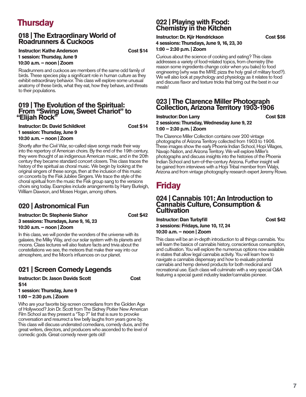# **Thursday**

#### **018 | The Extraordinary World of Roadrunners & Cuckoos**

**Instructor: Kathe Anderson Cost \$14 1 session: Thursday, June 9 10:30 a.m. – noon | Zoom**

**Cost \$14** 

Roadrunners and cuckoos are members of the same odd family of birds. These species play a significant role in human culture as they exhibit extraordinary behavior. This class will explore some unusual anatomy of these birds, what they eat, how they behave, and threats to their populations.

#### **019 | The Evolution of the Spiritual: From "Swing Low, Sweet Chariot" to "Elijah Rock"**

| <b>Instructor: Dr. David Schildkret</b> |
|-----------------------------------------|
| 1 session: Thursday, June 9             |
| 10:30 a.m. - noon   Zoom                |

Shortly after the Civil War, so-called slave songs made their way into the repertory of American choirs. By the end of the 19th century, they were thought of as indigenous American music, and in the 20th century they became standard concert closers. This class traces the history of the spiritual as choral music. We begin by looking at the original singers of these songs, then at the inclusion of this music on concerts by the Fisk Jubilee Singers. We trace the style of the choral spiritual from the music the Fisk group sang to the versions choirs sing today. Examples include arrangements by Harry Burleigh, William Dawson, and Moses Hogan, among others.

# **020 | Astronomical Fun**

**Instructor: Dr. Stephenie Slahor Cost \$42 3 sessions: Thursdays, June 9, 16, 23 10:30 a.m. – noon | Zoom**

In this class, we will ponder the wonders of the universe with its galaxies, the Milky Way, and our solar system with its planets and moons. Class lectures will also feature facts and trivia about the constellations we see, the meteors that make their way into our atmosphere, and the Moon's influences on our planet.

# **021 | Screen Comedy Legends**

**Instructor: Dr. Jason Davids Scott Cost Cost \$14**

**1 session: Thursday, June 9 1:00 – 2:30 p.m. | Zoom**

Who are your favorite big-screen comedians from the Golden Age of Hollywood? Join Dr. Scott from The Sidney Poitier New American Film School as they present a "Top 7" list that is sure to provoke conversation and resurrect a few belly laughs from years gone by. This class will discuss underrated comedians, comedy duos, and the great writers, directors, and producers who ascended to the level of comedic gods. Great comedy never gets old!

### **022 | Playing with Food: Chemistry in the Kitchen**

#### **Instructor: Dr. Kiir Hendrickson Cost \$56 4 sessions: Thursdays, June 9, 16, 23, 30 1:00 – 2:30 p.m. | Zoom**

Curious about the science of cooking and eating? This class addresses a variety of food-related topics, from chemistry (the reason some ingredients change color when you bake) to food engineering (why was the MRE pizza the holy grail of military food?). We will also look at psychology and physiology as it relates to food and discuss flavor and texture tricks that bring out the best in our meals!

#### **023 | The Clarence Miller Photograph Collection, Arizona Territory 1903-1906**

#### **Instructor: Don Larry Cost \$28 2 sessions: Thursday, Wednesday June 9, 22 1:00 – 2:30 p.m. | Zoom**

The Clarence Miller Collection contains over 200 vintage photographs of Arizona Territory collected from 1903 to 1906. These images show the early Phoenix Indian School, Hopi Villages, Navajo Nation, and Arizona Territory. We will explore Miller's photographs and discuss insights into the histories of the Phoenix Indian School and turn-of-the-century Arizona. Further insight will be gained from interviews with a Hopi Tribal member from Walpi, Arizona and from vintage photography research expert Jeremy Rowe.

# **Friday**

#### **024 | Cannabis 101: An Introduction to Cannabis Culture, Consumption & Cultivation**

**Instructor: Dan Turbyfill Cost \$42 3 sessions: Fridays, June 10, 17, 24 10:30 a.m. – noon | Zoom**

#### This class will be an in-depth introduction to all things cannabis. You will learn the basics of cannabis history, conscientious consumption, and cultivation. You will explore the numerous options now available in states that allow legal cannabis activity. You will learn how to navigate a cannabis dispensary and how to evaluate potential cannabis and hemp derived products for both medicinal and recreational use. Each class will culminate with a very special Q&A featuring a special guest industry leader/cannabis pioneer.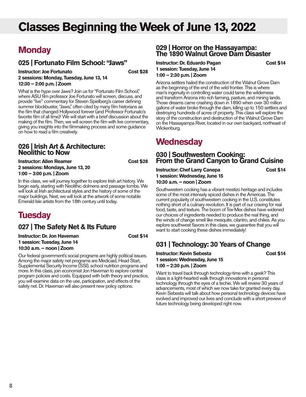# **Classes Beginning the Week of June 13, 2022**

# **Monday**

### **025 | Fortunato Film School: "Jaws"**

**Instructor: Joe Fortunato** Cost \$28 **2 sessions: Monday, Tuesday, June 13, 14 12:30 – 2:00 p.m. | Zoom**

What is the hype over Jaws? Join us for "Fortunato Film School," where ASU film professor Joe Fortunato will screen, discuss, and provide "live" commentary for Steven Spielberg's career defining summer blockbuster, "Jaws," often cited by many film historians as the film that changed Hollywood forever (and Professor Fortunato's favorite film of all time)! We will start with a brief discussion about the making of the film. Then, we will screen the film with live commentary, giving you insights into the filmmaking process and some guidance on how to read a film creatively.

#### **026 | Irish Art & Architecture: Neolithic to Now**

**Instructor: Allen Reamer Cost \$28 2 sessions: Mondays, June 13, 20 1:00 – 3:00 p.m. | Zoom**

In this class, we will journey together to explore Irish art history. We begin early, starting with Neolithic dolmens and passage tombs. We will look at Irish architectural styles and the history of some of the major buildings. Next, we will look at the artwork of some notable Emerald Isle artists from the 18th century until today.

# **Tuesday**

## **027 | The Safety Net & Its Future**

**Instructor: Dr. Jon Haveman Cost \$14 1 session: Tuesday, June 14 10:30 a.m. – noon | Zoom**

Our federal government's social programs are highly political issues. Among the major safety net programs are Medicaid, Head Start, Supplemental Security Income (SSI), school nutrition programs and more. In this class, join economist Jon Haveman to explore central program policies and costs. Equipped with both theory and practice, you will examine data on the use, participation, and effects of the safety net. Dr. Haveman will also present new policy options.

#### **029 | Horror on the Hassayampa: The 1890 Walnut Grove Dam Disaster**

#### **Instructor: Dr. Eduardo Pagan Cost \$14 1 session: Tuesday, June 14 1:00 – 2:30 p.m. | Zoom**

Arizona settlers hailed the construction of the Walnut Grove Dam as the beginning of the end of the wild frontier. This is where man's ingenuity in controlling water could tame the wilderness and transform Arizona into rich farming, pasture, and mining lands. Those dreams came crashing down in 1890 when over 30 million gallons of water broke through the dam, killing up to 150 settlers and destroying hundreds of acres of property. This class will explore the story of the construction and destruction of the Walnut Grove Dam on the Hassayampa River, located in our own backyard, northeast of Wickenburg.

# **Wednesday**

#### **030 | Southwestern Cooking: From the Grand Canyon to Grand Cuisine**

**Instructor: Chef Larry Canepa Cost \$14 1 session: Wednesday, June 15 10:30 a.m. – noon | Zoom**

Southwestern cooking has a vibrant mestizo heritage and includes some of the most intensely spiced dishes in the Americas. The current popularity of southwestern cooking in the U.S. constitutes nothing short of a culinary revolution. It is part of our craving for real food, taste, and texture. The boom of Tex-Mex dishes have widened our choices of ingredients needed to produce the real thing, and the winds of change smell like mesquite, cilantro, and chilies. As you explore southwest flavors in this class, we guarantee that you will want to start cooking these dishes immediately!

# **031 | Technology: 30 Years of Change**

**Instructor: Kevin Sebesta** Cost \$14 **1 session: Wednesday, June 15 1:00 – 2:30 p.m. | Zoom**

Want to travel back through technology-time with a geek? This class is a light-hearted walk through innovations in personal technology through the eyes of a techie. We will review 30 years of advancements, most of which we now take for granted every day. Kevin Sebesta will talk about how personal technology devices have evolved and improved our lives and conclude with a short preview of future technology being developed right now.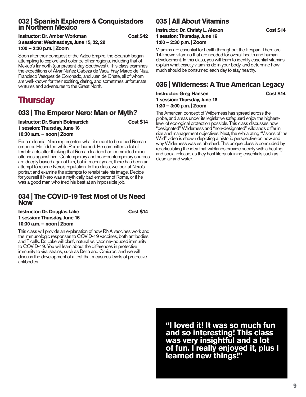#### **032 | Spanish Explorers & Conquistadors in Northern Mexico**

| Instructor: Dr. Amber Workman           |  |
|-----------------------------------------|--|
| 3 sessions: Wednesdays, June 15, 22, 29 |  |
| $1:00 - 2:30$ p.m. $ $ Zoom             |  |

Soon after their conquest of the Aztec Empire, the Spanish began attempting to explore and colonize other regions, including that of Mexico's far north (our present-day Southwest). This class examines the expeditions of Álvar Núñez Cabeza de Vaca, Fray Marco de Niza, Francisco Vásquez de Coronado, and Juan de Oñate, all of whom are well-known for their exciting, daring, and sometimes unfortunate ventures and adventures to the Great North.

# **Thursday**

### **033 | The Emperor Nero: Man or Myth?**

**Instructor: Dr. Sarah Bolmarcich Cost \$14 1 session: Thursday, June 16 10:30 a.m. – noon | Zoom**

**Cost \$14** 

**Cost \$42** 

For a millennia, Nero represented what it meant to be a bad Roman emperor. He fiddled while Rome burned. He committed a list of terrible acts after thinking that Roman leaders had committed minor offenses against him. Contemporary and near-contemporary sources are deeply biased against him, but in recent years, there has been an attempt to rescue Nero's reputation. In this class, we look at Nero's portrait and examine the attempts to rehabilitate his image. Decide for yourself if Nero was a mythically bad emperor of Rome, or if he was a good man who tried his best at an impossible job.

#### **034 | The COVID-19 Test Most of Us Need Now**

| <b>Instructor: Dr. Douglas Lake</b> |  |  |
|-------------------------------------|--|--|
| 1 session: Thursday, June 16        |  |  |
| 10:30 a.m. - noon   Zoom            |  |  |

This class will provide an explanation of how RNA vaccines work and the immunologic responses to COVID-19 vaccines, both antibodies and T cells. Dr. Lake will clarify natural vs. vaccine-induced immunity to COVID-19. You will learn about the differences in protective immunity to viral strains, such as Delta and Omicron, and we will discuss the development of a test that measures levels of protective antibodies.

# **035 | All About Vitamins**

#### **Instructor: Dr. Christy L. Alexon Cost \$14 1 session: Thursday, June 16 1:00 – 2:30 p.m. | Zoom**

Vitamins are essential for health throughout the lifespan. There are 14 known vitamins that are needed for overall health and human development. In this class, you will learn to identify essential vitamins, explain what exactly vitamins do in your body, and determine how much should be consumed each day to stay healthy.

# **036 | Wilderness: A True American Legacy**

**Instructor: Greg Hansen Cost \$14 1 session: Thursday, June 16 1:30 – 3:00 p.m. | Zoom**

The American concept of Wilderness has spread across the globe, and areas under its legislative safeguard enjoy the highestlevel of ecological protection possible. This class discusses how "designated" Wilderness and "non-designated" wildlands differ in size and management objectives. Next, the exhilarating "Visions of the Wild" video is shown depicting a historic perspective on how and why Wilderness was established. This unique class is concluded by re-articulating the idea that wildlands provide society with a healing and social release, as they host life-sustaining essentials such as clean air and water.

**"I loved it! It was so much fun and so interesting! This class was very insightful and a lot of fun. I really enjoyed it, plus I learned new things!"**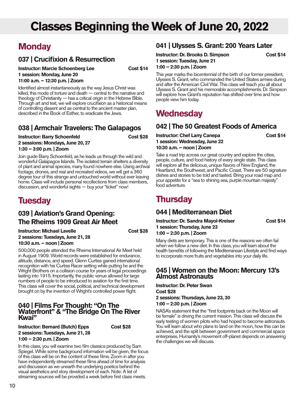# **Classes Beginning the Week of June 20, 2022**

# **Monday**

## **037 | Crucifixion & Resurrection**

**Instructor: Marcie Schoenberg Lee Cost \$14 1 session: Monday, June 20 11:00 a.m. – 12:30 p.m. | Zoom**

Identified almost instantaneously as the way Jesus Christ was killed, this mode of torture and death — central to the narrative and theology of Christianity — has a critical origin in the Hebrew Bible. Through art and text, we will explore crucifixion as a historical means of controlling dissent and as central to the ancient master plan, described in the Book of Esther, to eradicate the Jews.

### **038 | Armchair Travelers: The Galapagos**

**Instructor: Barry Schoenfeld Cost \$28 2 sessions: Mondays, June 20, 27 1:30 – 3:00 p.m. | Zoom**

Join guide Barry Schoenfeld, as he leads us through the wild and wonderful Galapagos Islands. The isolated terrain shelters a diversity of plant and animal species, many found nowhere else. Using archival footage, drones, and real and recreated videos, we will get a 360 degree tour of this strange and untouched world without ever leaving home. Class will include personal recollections from class members, discussion, and wonderful sights — buy your "ticket" now!

# **Tuesday**

## **039 | Aviation's Grand Opening: The Rheims 1909 Great Air Meet**

**Instructor: Michael Lavelle** Cost \$28 **2 sessions: Tuesdays, June 21, 28 10:30 a.m. – noon | Zoom**

500,000 people attended the Rheims International Air Meet held in August 1909. World records were established for endurance, altitude, distance, and speed. Glenn Curtiss gained international recognition with his Curtiss Racer setting while putting he and the Wright Brothers on a collision course for years of legal proceedings lasting into 1915. Importantly, the public venue allowed for large numbers of people to be introduced to aviation for the first time. This class will cover the social, political, and technical development brought on by the invention of Wright's controlled power flight.

#### **040 | Films For Thought: "On The Waterfront" & "The Bridge On The River Kwai"**

**Instructor: Bernard (Butch) Epps Cost \$28 2 sessions: Tuesdays, June 21, 28 1:00 – 2:30 p.m. | Zoom**

In this class, you will examine two film classics produced by Sam Spiegel. While some background information will be given, the focus of this class will be on the content of these films. Zoom in after you

have independently streamed these films ahead of time for analysis and discussion as we unearth the underlying poetics behind the visual aesthetics and story development of each. Note: A list of streaming sources will be provided a week before first class meets.

## **041 | Ulysses S. Grant: 200 Years Later**

**Instructor: Dr. Brooks D. Simpson Cost \$14 1 session: Tuesday, June 21 1:00 – 2:30 p.m. | Zoom**

This year marks the bicentennial of the birth of our former president, Ulysses S. Grant, who commanded the United States armies during and after the American Civil War. This class will teach you all about Ulysses S. Grant and his memorable accomplishments. Dr. Simpson will explore how Grant's reputation has shifted over time and how people view him today.

# **Wednesday**

# **042 | The 50 Greatest Foods of America**

**Instructor: Chef Larry Canepa Cost \$14 1 session: Wednesday, June 22 10:30 a.m. – noon | Zoom**

Take a road trip across our great country and explore the cities, people, culture, and food history of every single state. This class will explore all the delicious, unique flavors of New England, the Heartland, the Southwest, and Pacific Coast. There are 50 signature dishes and stories to be told and tasted. Bring your road map and your appetite for a "sea to shining sea, purple mountain majesty" food adventure.

# **Thursday**

# **044 | Mediterranean Diet**

**Instructor: Dr. Sandra Mayol-Kreiser Cost \$14 1 session: Thursday, June 23 1:00 – 2:30 p.m. | Zoom**

Many diets are temporary. This is one of the reasons we often fail when we follow a new diet. In this class, you will learn about the health benefits of following the Mediterranean Lifestyle and find ways to incorporate more fruits and vegetables into your daily life.

#### **045 | Women on the Moon: Mercury 13's Almost Astronauts**

**Instructor: Dr. Peter Swan Cost \$28 2 sessions: Thursdays, June 23, 30 1:00 – 2:30 p.m. | Zoom**

NASA's statement that the "first footprints back on the Moon will be female" is driving the current mission. This class will discuss the early testing of women pilots who had hoped to become astronauts. You will learn about who plans to land on the moon, how this can be achieved, and the split between government and commercial space enterprises. Humanity's movement off-planet depends on answering the challenges we will discuss.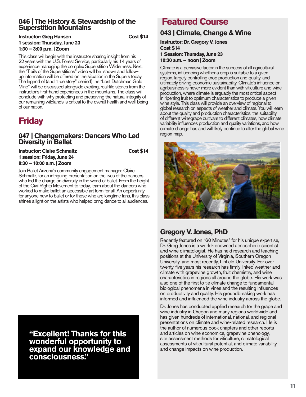#### **046 | The History & Stewardship of the Superstition Mountains**

#### **Instructor: Greg Hansen Cost \$14 1 session: Thursday, June 23 1:30 – 3:00 p.m. | Zoom**

This class will begin with the instructor sharing insight from his 22 years with the U.S. Forest Service, particularly his 14 years of experience managing the complex Superstition Wilderness. Next, the "Trails of the Superstitions" video will be shown and followup information will be offered on the situation in the Supers today. The legend of (and "true story" behind) the "Lost Dutchman Gold Mine" will be discussed alongside exciting, real-life stories from the instructor's first-hand experiences in the mountains. The class will conclude with why protecting and preserving the natural integrity of our remaining wildlands is critical to the overall health and well-being of our nation.

# **Friday**

#### **047 | Changemakers: Dancers Who Led Diversity in Ballet**

**Instructor: Claire Schmaltz Cost \$14 1 session: Friday, June 24 8:30 – 10:00 a.m. | Zoom**

Join Ballet Arizona's community engagement manager, Claire Schmaltz, for an intriguing presentation on the lives of the dancers who led the charge on diversity in the world of ballet. From the height of the Civil Rights Movement to today, learn about the dancers who worked to make ballet an accessible art form for all. An opportunity for anyone new to ballet or for those who are longtime fans, this class shines a light on the artists who helped bring dance to all audiences.

**"Excellent! Thanks for this wonderful opportunity to expand our knowledge and consciousness."**

# **Featured Course**

# **043 | Climate, Change & Wine**

**Instructor: Dr. Gregory V. Jones Cost \$14 1 Session: Thursday, June 23 10:30 a.m. – noon | Zoom**

Climate is a pervasive factor in the success of all agricultural systems, influencing whether a crop is suitable to a given region, largely controlling crop production and quality, and ultimately driving economic sustainability. Climate's influence on agribusiness is never more evident than with viticulture and wine production, where climate is arguably the most critical aspect in ripening fruit to optimum characteristics to produce a given wine style. This class will provide an overview of regional to global research on aspects of weather and climate. You will learn about the quality and production characteristics, the suitability of different winegrape cultivars to different climates, how climate variability influences production and quality variations, and how climate change has and will likely continue to alter the global wine region map.



# **Gregory V. Jones, PhD**

Recently featured on "60 Minutes" for his unique expertise, Dr. Greg Jones is a world-renowned atmospheric scientist and wine climatologist. He has held research and teaching positions at the University of Virginia, Southern Oregon University, and most recently, Linfield University. For over twenty-five years his research has firmly linked weather and climate with grapevine growth, fruit chemistry, and wine characteristics in regions all around the globe. His work was also one of the first to tie climate change to fundamental biological phenomena in vines and the resulting influences on productivity and quality. His groundbreaking work has informed and influenced the wine industry across the globe.

Dr. Jones has conducted applied research for the grape and wine industry in Oregon and many regions worldwide and has given hundreds of international, national, and regional presentations on climate and wine-related research. He is the author of numerous book chapters and other reports and articles on wine economics, grapevine phenology, site assessment methods for viticulture, climatological assessments of viticultural potential, and climate variability and change impacts on wine production.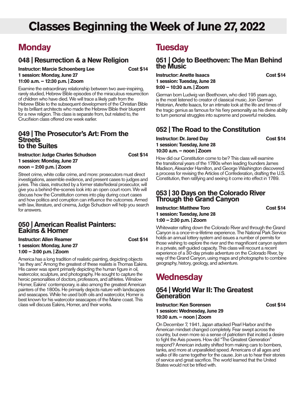# **Classes Beginning the Week of June 27, 2022**

# **Monday**

### **048 | Resurrection & a New Religion**

**Instructor: Marcie Schoenberg Lee Cost \$14 1 session: Monday, June 27 11:00 a.m. – 12:30 p.m. | Zoom**

Examine the extraordinary relationship between two awe-inspiring, rarely studied, Hebrew Bible episodes of the miraculous resurrection of children who have died. We will trace a likely path from the Hebrew Bible to the subsequent development of the Christian Bible by its brilliant architects who made the Hebrew Bible their blueprint for a new religion. This class is separate from, but related to, the Crucifixion class offered one week earlier.

#### **049 | The Prosecutor's Art: From the Streets to the Suites**

| <b>Instructor: Judge Charles Schudson</b> |  |  |
|-------------------------------------------|--|--|
| 1 session: Monday, June 27                |  |  |
| noon - 2:00 p.m.   Zoom                   |  |  |

Street crime, white collar crime, and more: prosecutors must direct investigations, assemble evidence, and present cases to judges and juries. This class, instructed by a former state/federal prosecutor, will give you a behind-the-scenes look into an open court room. We will discuss how the Constitution comes into play during court cases and how politics and corruption can influence the outcomes. Armed with law, literature, and cinema, Judge Schudson will help you search for answers.

#### **050 | American Realist Painters: Eakins & Homer**

**Instructor: Allen Reamer Cost \$14 1 session: Monday, June 27 1:00 – 3:00 p.m. | Zoom**

**Cost \$14** 

America has a long tradition of realistic painting, depicting objects "as they are." Among the greatest of these realists is Thomas Eakins. His career was spent primarily depicting the human figure in oil, watercolor, sculpture, and photography. He sought to capture the heroic personalities of doctors, professors, and athletes. Winslow Homer, Eakins' contemporary, is also among the greatest American painters of the 1800s. He primarily depicts nature with landscapes and seascapes. While he used both oils and watercolor, Homer is best known for his watercolor seascapes of the Maine coast. This class will discuss Eakins, Homer, and their works.

# **Tuesday**

#### **051 | Ode to Beethoven: The Man Behind the Music**

#### **Instructor: Anette Isaacs Cost \$14 1 session: Tuesday, June 28 9:00 – 10:30 a.m. | Zoom**

German born Ludwig van Beethoven, who died 195 years ago, is the most listened to creator of classical music. Join German Historian, Anette Isaacs, for an intimate look at the life and times of the tragic genius as famous for his fiery personality as his divine ability

# **052 | The Road to the Constitution**

to turn personal struggles into supreme and powerful melodies.

#### **Instructor: Dr. Jared Day Cost \$14 1 session: Tuesday, June 28 10:30 a.m. – noon | Zoom**

How did our Constitution come to be? This class will examine the transitional years of the 1780s when leading founders James Madison, Alexander Hamilton, and George Washington discovered a process for revising the Articles of Confederation, drafting the U.S. Constitution, then ratifying and seeing it come into effect in 1789.

#### **053 | 30 Days on the Colorado River Through the Grand Canyon**

#### **Instructor: Matthew Toro Cost \$14 1 session: Tuesday, June 28 1:00 – 2:30 p.m. | Zoom**

Whitewater rafting down the Colorado River and through the Grand Canyon is a once-in-a-lifetime experience. The National Park Service holds an annual lottery system and issues a number of permits for those wishing to explore the river and the magnificent canyon system in a private, self-guided capacity. This class will recount a recent experience of a 30-day private adventure on the Colorado River, by way of the Grand Canyon, using maps and photographs to combine geography, history, geology, and adventure.

# **Wednesday**

#### **054 | World War II: The Greatest Generation**

**Instructor: Ken Sorensen Cost \$14 1 session: Wednesday, June 29 10:30 a.m. – noon | Zoom**

On December 7, 1941, Japan attacked Pearl Harbor and the American mindset changed completely. Fear swept across the country, but even more so a sense of patriotism that incited a desire to fight the Axis powers. How did "The Greatest Generation" respond? American industry shifted from making cars to bombers, tanks, and more at unparalleled speed. Americans of all ages and walks of life came together for the cause. Join us to hear their stories of service and great sacrifice. The world learned that the United States would not be trifled with.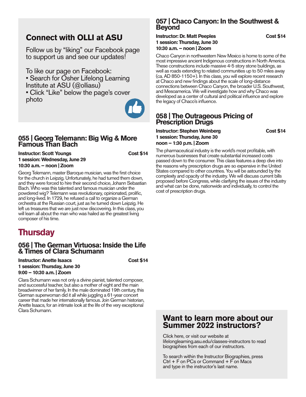# **Connect with OLLI at ASU**

Follow us by "liking" our Facebook page to support us and see our updates!

To like our page on Facebook:

- Search for Osher Lifelong Learning Institute at ASU (@olliasu)
- Click "Like" below the page's cover photo



#### **055 | Georg Telemann: Big Wig & More Famous Than Bach**

**Instructor: Scott Youngs Cost \$14 1 session: Wednesday, June 29 10:30 a.m. – noon | Zoom**

Georg Telemann, master Baroque musician, was the first choice for the church in Leipzig. Unfortunately, he had turned them down, and they were forced to hire their second choice, Johann Sebastian Bach. Who was this talented and famous musician under the powdered wig? Telemann was revolutionary, opinionated, prolific, and long-lived. In 1729, he refused a call to organize a German orchestra at the Russian court, just as he turned down Leipzig. He left us treasures that we are just now discovering. In this class, you will learn all about the man who was hailed as the greatest living composer of his time.

# **Thursday**

#### **056 | The German Virtuosa: Inside the Life & Times of Clara Schumann**

**Instructor: Anette Isaacs Cost \$14 1 session: Thursday, June 30 9:00 – 10:30 a.m. | Zoom**

Clara Schumann was not only a divine pianist, talented composer, and successful teacher, but also a mother of eight and the main breadwinner of her family. In the male dominated 19th century, this German superwoman did it all while juggling a 61-year concert career that made her internationally famous. Join German historian, Anette Isaacs, for an intimate look at the life of the very exceptional Clara Schumann.

### **057 | Chaco Canyon: In the Southwest & Beyond**

#### **Instructor: Dr. Matt Peeples Cost \$14 1 session: Thursday, June 30 10:30 a.m. – noon | Zoom**

Chaco Canyon in northwestern New Mexico is home to some of the most impressive ancient Indigenous constructions in North America. These constructions include massive 4-5 story stone buildings, as well as roads extending to related communities up to 50 miles away (ca. AD 850-1150+). In this class, you will explore recent research at Chaco and new findings about the scale of long-distance connections between Chaco Canyon, the broader U.S. Southwest, and Mesoamerica. We will investigate how and why Chaco was developed as a center of cultural and political influence and explore the legacy of Chaco's influence.

#### **058 | The Outrageous Pricing of Prescription Drugs**

**Instructor: Stephen Weinberg Cost \$14 1 session: Thursday, June 30 noon – 1:30 p.m. | Zoom**

The pharmaceutical industry is the world's most profitable, with numerous businesses that create substantial increased costs passed down to the consumer. This class features a deep dive into the reasons why prescription drugs are so expensive in the United States compared to other countries. You will be astounded by the complexity and opacity of the industry. We will discuss current bills proposed before Congress, while clarifying the issues of the industry and what can be done, nationwide and individually, to control the cost of prescription drugs.

## **Want to learn more about our Summer 2022 instructors?**

Click here, or visit our website at lifelonglearning.asu.edu/classes-instructors to read biographies from each of our instructors.

To search within the Instructor Biographies, press  $Ctrl + F$  on PCs or Command  $+ F$  on Macs and type in the instructor's last name.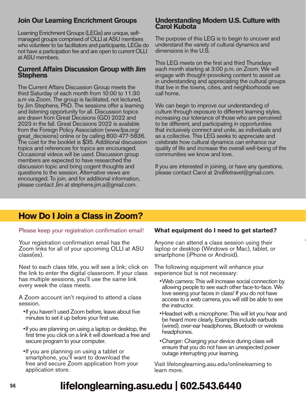# **Join Our Learning Encrichment Groups**

Learning Enrichment Groups (LEGs) are unique, selfmanaged groups comprised of OLLI at ASU members who volunteer to be facilitators and participants. LEGs do not have a participation fee and are open to current OLLI at ASU members.

#### **Current Affairs Discussion Group with Jim Stephens**

The Current Affairs Discussion Group meets the third Saturday of each month from 10:00 to 11:30 a.m via Zoom. The group is facilitated, not lectured, by Jim Stephens, PhD. The sessions offer a learning and listening opportunity for all. Discussion topics are drawn from Great Decisions (GD) 2022 and 2023 in the fall. Great Decisions 2022 is available from the Foreign Policy Association (www.fpa.org/ great decisions) online or by calling 800-477-5836. The cost for the booklet is \$35. Additional discussion topics and references for topics are encouraged. Occasional videos will be used. Discussion group members are expected to have researched the discussion topic and bring cogent thoughts and questions to the session. Alternative views are encouraged. To join, and for additional information, please contact Jim at stephens.jim.a@gmail.com.

#### **Understanding Modern U.S. Culture with Carol Kubota**

The purpose of this LEG is to begin to uncover and understand the variety of cultural dynamics and dimensions in the U.S.

This LEG meets on the first and third Thursdays each month starting at 3:00 p.m. on Zoom. We will engage with thought-provoking content to assist us in understanding and appreciating the cultural groups that live in the towns, cities, and neighborhoods we call home.

We can begin to improve our understanding of culture through exposure to different learning styles, increasing our tolerance of those who are perceived to be different, and participating in opportunities that inclusively connect and unite, as individuals and as a collective. This LEG seeks to appreciate and celebrate how cultural dynamics can enhance our quality of life and increase the overall well-being of the communities we know and love.

If you are interested in joining, or have any questions, please contact Carol at 2ndlifetravel@gmail.com.

# **How Do I Join a Class in Zoom?**

Please keep your registration confirmation email!

Your registration confirmation email has the Zoom links for all of your upcoming OLLI at ASU class(es).

Next to each class title, you will see a link; click on the link to enter the digital classroom. If your class has multiple sessions, you'll use the same link every week the class meets.

A Zoom account isn't required to attend a class session.

- •If you haven't used Zoom before, leave about five minutes to set it up before your first use.
- •If you are planning on using a laptop or desktop, the first time you click on a link it will download a free and secure program to your computer.
- •If you are planning on using a tablet or smartphone, you'll want to download the free and secure Zoom application from your application store.

#### **What equipment do I need to get started?**

Anyone can attend a class session using their laptop or desktop (Windows or Mac), tablet, or smartphone (iPhone or Android).

The following equipment will enhance your experience but is not necessary:

- •Web camera: This will increase social connection by allowing people to see each other face-to-face. We love seeing your faces in class! If you do not have access to a web camera, you will still be able to see the instructor.
- •Headset with a microphone: This will let you hear and be heard more clearly. Examples include earbuds (wired), over-ear headphones, Bluetooth or wireless headphones.
- •Charger: Charging your device during class will ensure that you do not have an unexpected power outage interrupting your learning.

Visit lifelonglearning.asu.edu/onlinelearning to learn more.

# **lifelonglearning.asu.edu | 602.543.6440**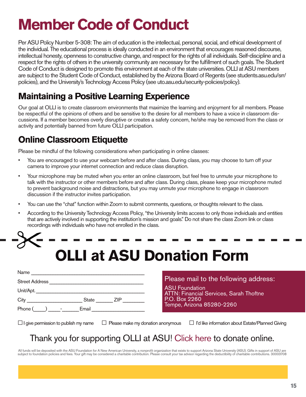# **Member Code of Conduct**

Per ASU Policy Number 5-308: The aim of education is the intellectual, personal, social, and ethical development of the individual. The educational process is ideally conducted in an environment that encourages reasoned discourse, intellectual honesty, openness to constructive change, and respect for the rights of all individuals. Self-discipline and a respect for the rights of others in the university community are necessary for the fulfillment of such goals. The Student Code of Conduct is designed to promote this environment at each of the state universities. OLLI at ASU members are subject to the Student Code of Conduct, established by the Arizona Board of Regents (see students.asu.edu/srr/ policies), and the University's Technology Access Policy (see uto.asu.edu/security-policies/policy).

# **Maintaining a Positive Learning Experience**

Our goal at OLLI is to create classroom environments that maximize the learning and enjoyment for all members. Please be respectful of the opinions of others and be sensitive to the desire for all members to have a voice in classroom discussions. If a member becomes overly disruptive or creates a safety concern, he/she may be removed from the class or activity and potentially banned from future OLLI participation.

# **Online Classroom Etiquette**

Please be mindful of the following considerations when participating in online classes:

- You are encouraged to use your webcam before and after class. During class, you may choose to turn off your camera to improve your internet connection and reduce class disruption.
- Your microphone may be muted when you enter an online classroom, but feel free to unmute your microphone to talk with the instructor or other members before and after class. During class, please keep your microphone muted to prevent background noise and distractions, but you may unmute your microphone to engage in classroom discussion if the instructor invites participation.
- You can use the "chat" function within Zoom to submit comments, questions, or thoughts relevant to the class.
- According to the University Technology Access Policy, "the University limits access to only those individuals and entities that are actively involved in supporting the institution's mission and goals." Do not share the class Zoom link or class recordings with individuals who have not enrolled in the class.

| <b>OLLI at ASU Donation Form</b> |  |
|----------------------------------|--|

| Name                                                                                                                              |                            |  |  |  |
|-----------------------------------------------------------------------------------------------------------------------------------|----------------------------|--|--|--|
| <b>Street Address</b>                                                                                                             |                            |  |  |  |
| Unit/Apt.<br><u> 1980 - John Stein, market fransk kanton og det forskellige og det forskellige og det forskellige og det fors</u> |                            |  |  |  |
| City                                                                                                                              | <b>State</b><br><b>ZIP</b> |  |  |  |
| Phone (<br>and the state of the                                                                                                   | Email                      |  |  |  |

## Please mail to the following address:

ASU Foundation **ATTN: Financial Services, Sarah Thoftne** P.O. Box 2260 Tempe, Arizona 85280-2260

□I give permission to publish my name □ Please make my donation anonymous □ I'd like information about Estate/Planned Giving

# Thank you for supporting OLLI at ASU! Click here to donate online.

All funds will be deposited with the ASU Foundation for A New American University, a nonprofit organization that exists to support Arizona State University (ASU). Gifts in support of ASU are subject to foundation policies and fees. Your gift may be considered a charitable contribution. Please consult your tax advisor regarding the deductibility of charitable contributions. 30003708